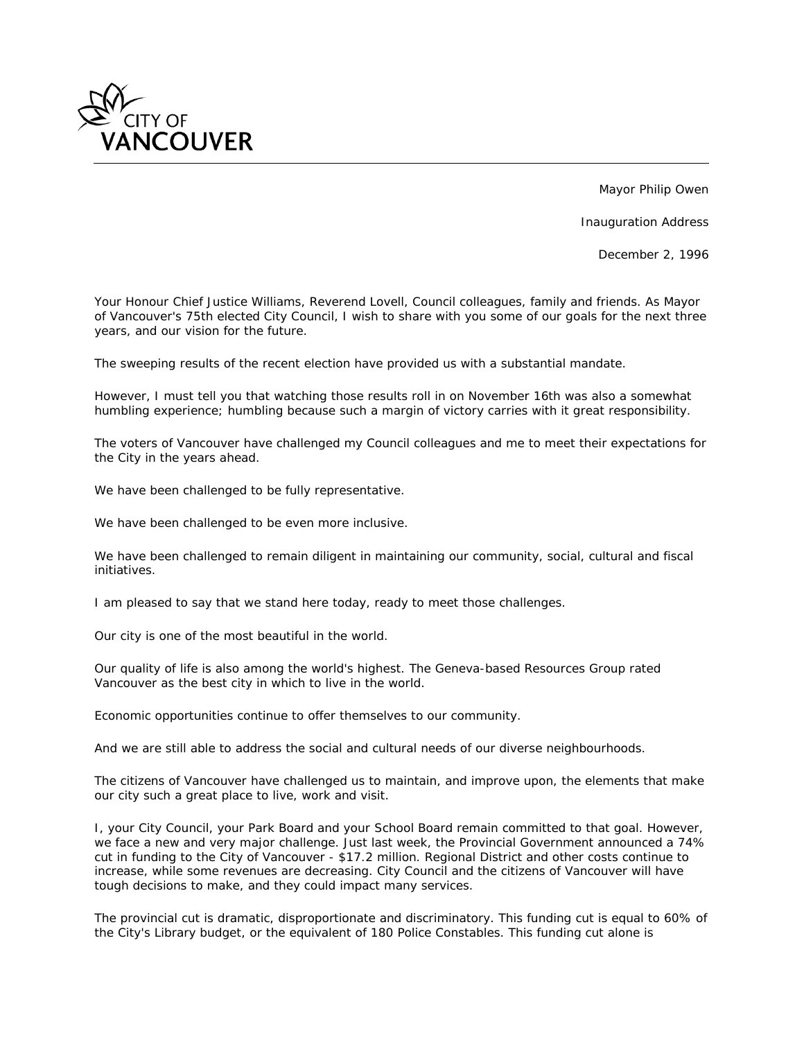

Mayor Philip Owen

Inauguration Address

December 2, 1996

*Your Honour Chief Justice Williams, Reverend Lovell, Council colleagues, family and friends. As Mayor of Vancouver's 75th elected City Council, I wish to share with you some of our goals for the next three years, and our vision for the future.*

*The sweeping results of the recent election have provided us with a substantial mandate.*

*However, I must tell you that watching those results roll in on November 16th was also a somewhat humbling experience; humbling because such a margin of victory carries with it great responsibility.*

*The voters of Vancouver have challenged my Council colleagues and me to meet their expectations for the City in the years ahead.*

*We have been challenged to be fully representative.*

*We have been challenged to be even more inclusive.*

We have been challenged to remain diligent in maintaining our community, social, cultural and fiscal *initiatives.*

*I am pleased to say that we stand here today, ready to meet those challenges.*

*Our city is one of the most beautiful in the world.*

*Our quality of life is also among the world's highest. The Geneva-based Resources Group rated Vancouver as the best city in which to live in the world.*

*Economic opportunities continue to offer themselves to our community.*

*And we are still able to address the social and cultural needs of our diverse neighbourhoods.*

*The citizens of Vancouver have challenged us to maintain, and improve upon, the elements that make our city such a great place to live, work and visit.*

*I, your City Council, your Park Board and your School Board remain committed to that goal. However, we face a new and very major challenge. Just last week, the Provincial Government announced a 74% cut in funding to the City of Vancouver - \$17.2 million. Regional District and other costs continue to increase, while some revenues are decreasing. City Council and the citizens of Vancouver will have tough decisions to make, and they could impact many services.*

*The provincial cut is dramatic, disproportionate and discriminatory. This funding cut is equal to 60% of the City's Library budget, or the equivalent of 180 Police Constables. This funding cut alone is*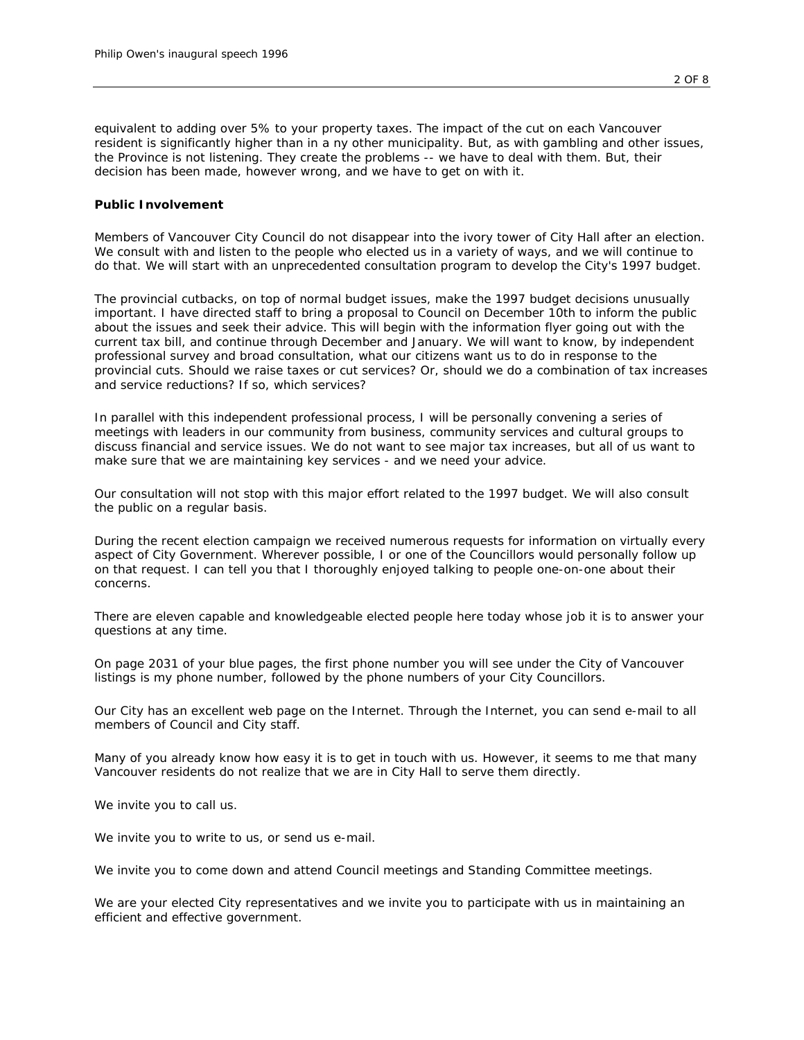*equivalent to adding over 5% to your property taxes. The impact of the cut on each Vancouver resident is significantly higher than in a ny other municipality. But, as with gambling and other issues, the Province is not listening. They create the problems -- we have to deal with them. But, their decision has been made, however wrong, and we have to get on with it.*

#### *Public Involvement*

*Members of Vancouver City Council do not disappear into the ivory tower of City Hall after an election. We consult with and listen to the people who elected us in a variety of ways, and we will continue to do that. We will start with an unprecedented consultation program to develop the City's 1997 budget.*

*The provincial cutbacks, on top of normal budget issues, make the 1997 budget decisions unusually important. I have directed staff to bring a proposal to Council on December 10th to inform the public about the issues and seek their advice. This will begin with the information flyer going out with the current tax bill, and continue through December and January. We will want to know, by independent professional survey and broad consultation, what our citizens want us to do in response to the provincial cuts. Should we raise taxes or cut services? Or, should we do a combination of tax increases and service reductions? If so, which services?*

In parallel with this independent professional process, I will be personally convening a series of *meetings with leaders in our community from business, community services and cultural groups to discuss financial and service issues. We do not want to see major tax increases, but all of us want to make sure that we are maintaining key services - and we need your advice.*

*Our consultation will not stop with this major effort related to the 1997 budget. We will also consult the public on a regular basis.*

*During the recent election campaign we received numerous requests for information on virtually every aspect of City Government. Wherever possible, I or one of the Councillors would personally follow up on that request. I can tell you that I thoroughly enjoyed talking to people one-on-one about their concerns.*

*There are eleven capable and knowledgeable elected people here today whose job it is to answer your questions at any time.*

*On page 2031 of your blue pages, the first phone number you will see under the City of Vancouver listings is my phone number, followed by the phone numbers of your City Councillors.*

*Our City has an excellent web page on the Internet. Through the Internet, you can send e-mail to all members of Council and City staff.*

*Many of you already know how easy it is to get in touch with us. However, it seems to me that many Vancouver residents do not realize that we are in City Hall to serve them directly.*

*We invite you to call us.*

*We invite you to write to us, or send us e-mail.*

*We invite you to come down and attend Council meetings and Standing Committee meetings.*

*We are your elected City representatives and we invite you to participate with us in maintaining an efficient and effective government.*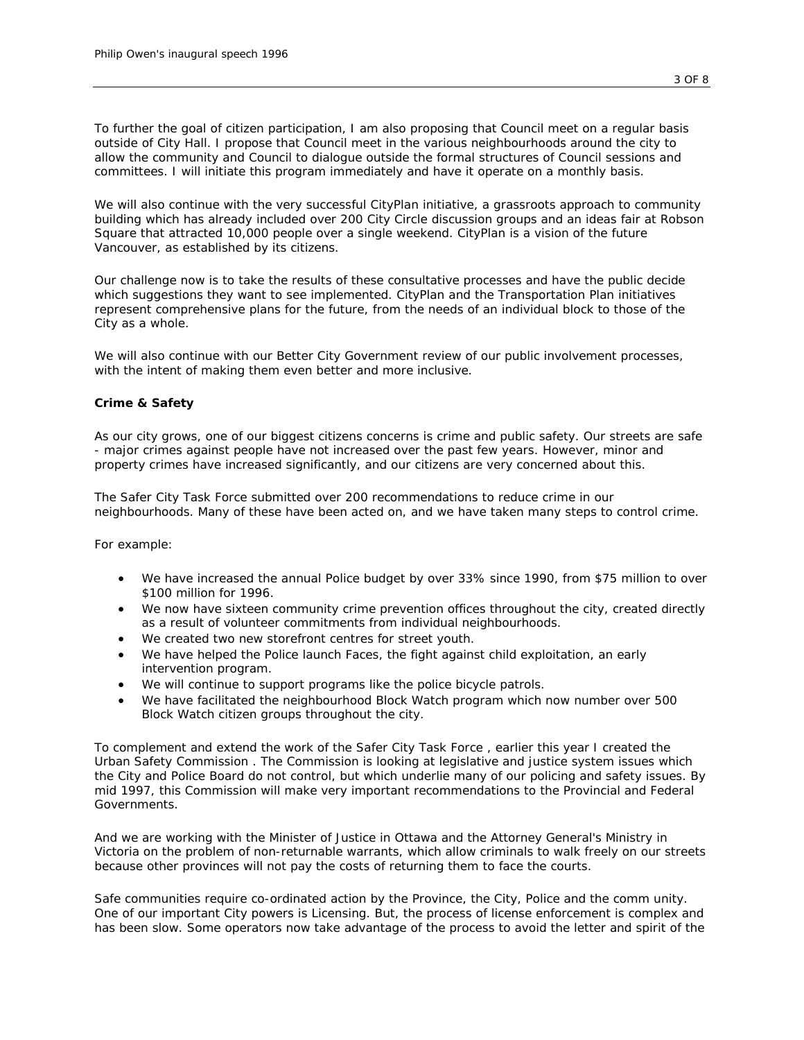*To further the goal of citizen participation, I am also proposing that Council meet on a regular basis outside of City Hall. I propose that Council meet in the various neighbourhoods around the city to allow the community and Council to dialogue outside the formal structures of Council sessions and committees. I will initiate this program immediately and have it operate on a monthly basis.*

*We will also continue with the very successful CityPlan initiative, a grassroots approach to community building which has already included over 200 City Circle discussion groups and an ideas fair at Robson Square that attracted 10,000 people over a single weekend. CityPlan is a vision of the future Vancouver, as established by its citizens.*

*Our challenge now is to take the results of these consultative processes and have the public decide which suggestions they want to see implemented. CityPlan and the Transportation Plan initiatives represent comprehensive plans for the future, from the needs of an individual block to those of the City as a whole.*

*We will also continue with our Better City Government review of our public involvement processes, with the intent of making them even better and more inclusive.*

# *Crime & Safety*

*As our city grows, one of our biggest citizens concerns is crime and public safety. Our streets are safe - major crimes against people have not increased over the past few years. However, minor and property crimes have increased significantly, and our citizens are very concerned about this.*

*The Safer City Task Force submitted over 200 recommendations to reduce crime in our neighbourhoods. Many of these have been acted on, and we have taken many steps to control crime.*

*For example:*

- *We have increased the annual Police budget by over 33% since 1990, from \$75 million to over \$100 million for 1996.*
- *We now have sixteen community crime prevention offices throughout the city, created directly as a result of volunteer commitments from individual neighbourhoods.*
- *We created two new storefront centres for street youth.*
- *We have helped the Police launch Faces, the fight against child exploitation, an early intervention program.*
- *We will continue to support programs like the police bicycle patrols.*
- *We have facilitated the neighbourhood Block Watch program which now number over 500 Block Watch citizen groups throughout the city.*

*To complement and extend the work of the Safer City Task Force , earlier this year I created the Urban Safety Commission . The Commission is looking at legislative and justice system issues which the City and Police Board do not control, but which underlie many of our policing and safety issues. By mid 1997, this Commission will make very important recommendations to the Provincial and Federal Governments.*

*And we are working with the Minister of Justice in Ottawa and the Attorney General's Ministry in Victoria on the problem of non-returnable warrants, which allow criminals to walk freely on our streets because other provinces will not pay the costs of returning them to face the courts.*

*Safe communities require co-ordinated action by the Province, the City, Police and the comm unity. One of our important City powers is Licensing. But, the process of license enforcement is complex and*  has been slow. Some operators now take advantage of the process to avoid the letter and spirit of the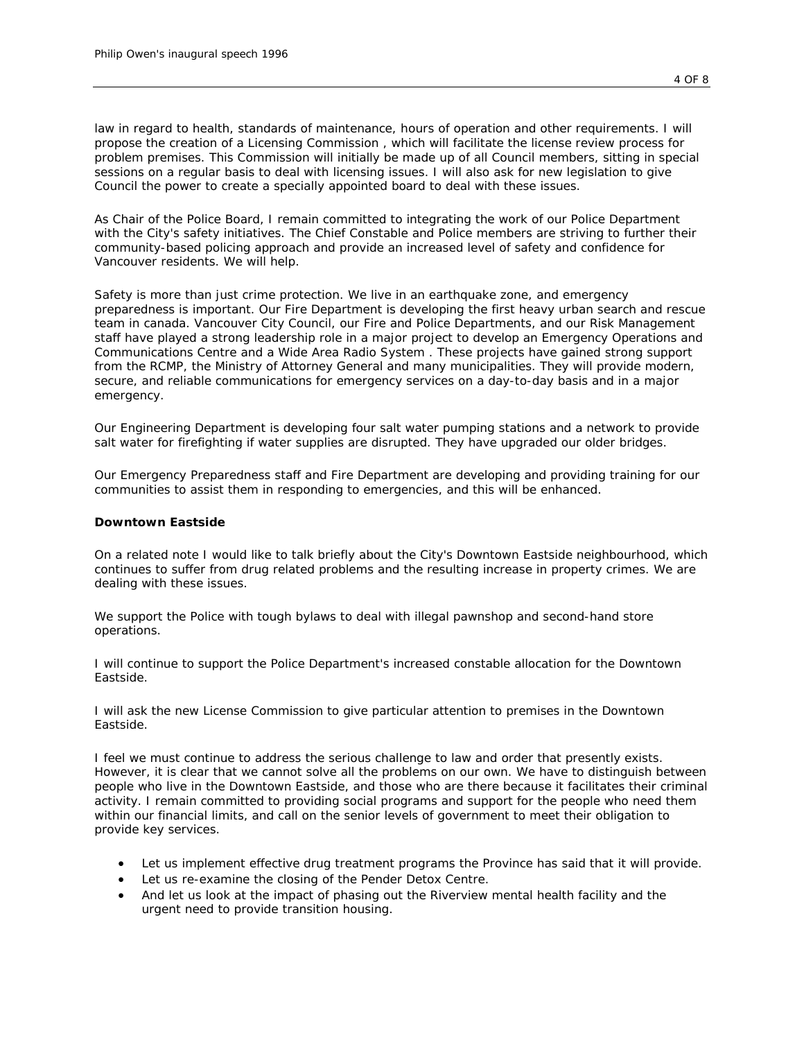*law in regard to health, standards of maintenance, hours of operation and other requirements. I will propose the creation of a Licensing Commission , which will facilitate the license review process for problem premises. This Commission will initially be made up of all Council members, sitting in special sessions on a regular basis to deal with licensing issues. I will also ask for new legislation to give Council the power to create a specially appointed board to deal with these issues.*

*As Chair of the Police Board, I remain committed to integrating the work of our Police Department with the City's safety initiatives. The Chief Constable and Police members are striving to further their community-based policing approach and provide an increased level of safety and confidence for Vancouver residents. We will help.*

*Safety is more than just crime protection. We live in an earthquake zone, and emergency preparedness is important. Our Fire Department is developing the first heavy urban search and rescue team in canada. Vancouver City Council, our Fire and Police Departments, and our Risk Management staff have played a strong leadership role in a major project to develop an Emergency Operations and Communications Centre and a Wide Area Radio System . These projects have gained strong support from the RCMP, the Ministry of Attorney General and many municipalities. They will provide modern, secure, and reliable communications for emergency services on a day-to-day basis and in a major emergency.*

*Our Engineering Department is developing four salt water pumping stations and a network to provide salt water for firefighting if water supplies are disrupted. They have upgraded our older bridges.*

*Our Emergency Preparedness staff and Fire Department are developing and providing training for our communities to assist them in responding to emergencies, and this will be enhanced.*

## *Downtown Eastside*

*On a related note I would like to talk briefly about the City's Downtown Eastside neighbourhood, which continues to suffer from drug related problems and the resulting increase in property crimes. We are dealing with these issues.*

We support the Police with tough bylaws to deal with illegal pawnshop and second-hand store *operations.*

*I will continue to support the Police Department's increased constable allocation for the Downtown Eastside.*

*I will ask the new License Commission to give particular attention to premises in the Downtown Eastside.*

*I feel we must continue to address the serious challenge to law and order that presently exists. However, it is clear that we cannot solve all the problems on our own. We have to distinguish between people who live in the Downtown Eastside, and those who are there because it facilitates their criminal*  activity. I remain committed to providing social programs and support for the people who need them *within our financial limits, and call on the senior levels of government to meet their obligation to provide key services.*

- *Let us implement effective drug treatment programs the Province has said that it will provide.*
- *Let us re-examine the closing of the Pender Detox Centre.*
- *And let us look at the impact of phasing out the Riverview mental health facility and the urgent need to provide transition housing.*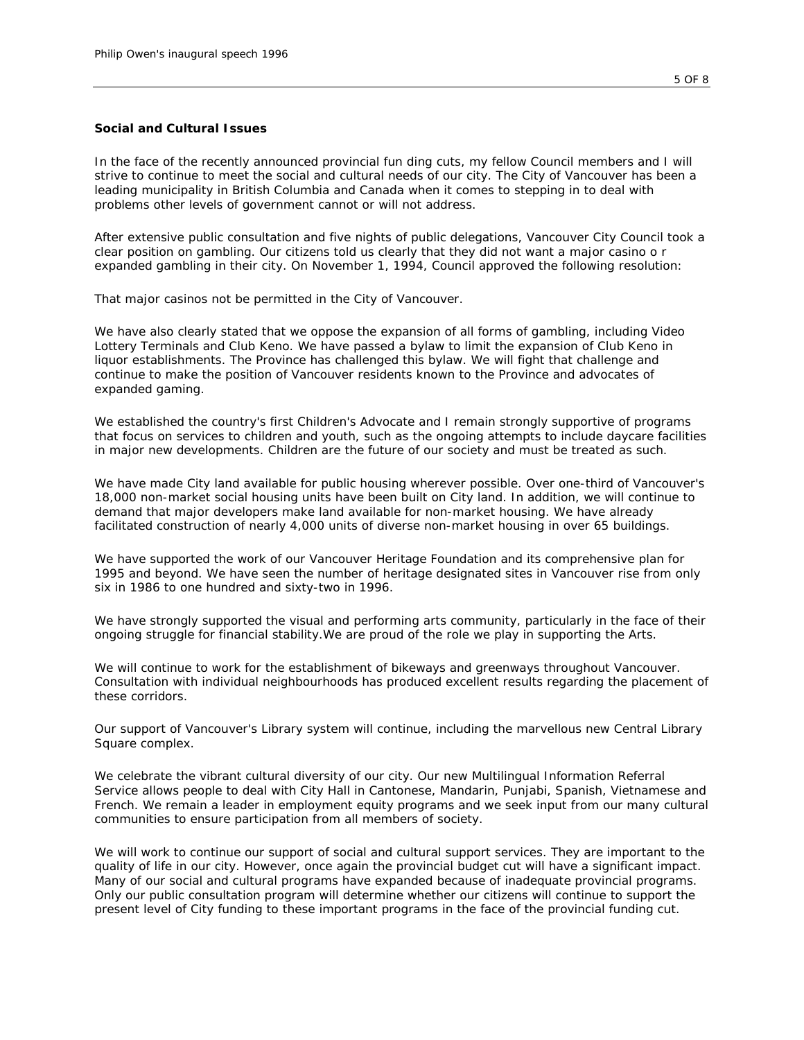## *Social and Cultural Issues*

In the face of the recently announced provincial fun ding cuts, my fellow Council members and I will *strive to continue to meet the social and cultural needs of our city. The City of Vancouver has been a leading municipality in British Columbia and Canada when it comes to stepping in to deal with problems other levels of government cannot or will not address.*

*After extensive public consultation and five nights of public delegations, Vancouver City Council took a clear position on gambling. Our citizens told us clearly that they did not want a major casino o r expanded gambling in their city. On November 1, 1994, Council approved the following resolution:*

*That major casinos not be permitted in the City of Vancouver.*

*We have also clearly stated that we oppose the expansion of all forms of gambling, including Video*  Lottery Terminals and Club Keno. We have passed a bylaw to limit the expansion of Club Keno in *liquor establishments. The Province has challenged this bylaw. We will fight that challenge and continue to make the position of Vancouver residents known to the Province and advocates of expanded gaming.*

*We established the country's first Children's Advocate and I remain strongly supportive of programs that focus on services to children and youth, such as the ongoing attempts to include daycare facilities in major new developments. Children are the future of our society and must be treated as such.*

*We have made City land available for public housing wherever possible. Over one-third of Vancouver's 18,000 non-market social housing units have been built on City land. In addition, we will continue to demand that major developers make land available for non-market housing. We have already facilitated construction of nearly 4,000 units of diverse non-market housing in over 65 buildings.*

*We have supported the work of our Vancouver Heritage Foundation and its comprehensive plan for 1995 and beyond. We have seen the number of heritage designated sites in Vancouver rise from only six in 1986 to one hundred and sixty-two in 1996.*

*We have strongly supported the visual and performing arts community, particularly in the face of their ongoing struggle for financial stability.We are proud of the role we play in supporting the Arts.*

*We will continue to work for the establishment of bikeways and greenways throughout Vancouver. Consultation with individual neighbourhoods has produced excellent results regarding the placement of these corridors.*

*Our support of Vancouver's Library system will continue, including the marvellous new Central Library Square complex.*

We celebrate the vibrant cultural diversity of our city. Our new Multilingual Information Referral *Service allows people to deal with City Hall in Cantonese, Mandarin, Punjabi, Spanish, Vietnamese and French. We remain a leader in employment equity programs and we seek input from our many cultural communities to ensure participation from all members of society.*

*We will work to continue our support of social and cultural support services. They are important to the quality of life in our city. However, once again the provincial budget cut will have a significant impact. Many of our social and cultural programs have expanded because of inadequate provincial programs. Only our public consultation program will determine whether our citizens will continue to support the present level of City funding to these important programs in the face of the provincial funding cut.*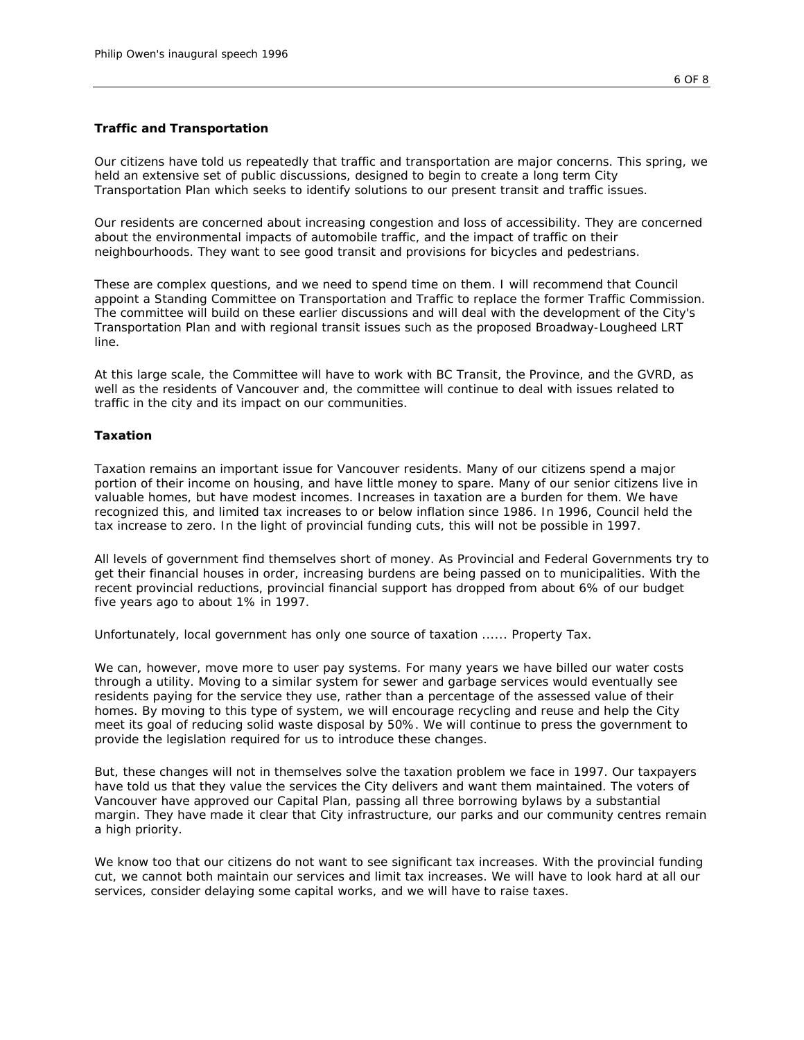# *Traffic and Transportation*

*Our citizens have told us repeatedly that traffic and transportation are major concerns. This spring, we held an extensive set of public discussions, designed to begin to create a long term City Transportation Plan which seeks to identify solutions to our present transit and traffic issues.*

*Our residents are concerned about increasing congestion and loss of accessibility. They are concerned about the environmental impacts of automobile traffic, and the impact of traffic on their neighbourhoods. They want to see good transit and provisions for bicycles and pedestrians.*

*These are complex questions, and we need to spend time on them. I will recommend that Council appoint a Standing Committee on Transportation and Traffic to replace the former Traffic Commission. The committee will build on these earlier discussions and will deal with the development of the City's Transportation Plan and with regional transit issues such as the proposed Broadway-Lougheed LRT line.*

*At this large scale, the Committee will have to work with BC Transit, the Province, and the GVRD, as well as the residents of Vancouver and, the committee will continue to deal with issues related to traffic in the city and its impact on our communities.*

## *Taxation*

*Taxation remains an important issue for Vancouver residents. Many of our citizens spend a major portion of their income on housing, and have little money to spare. Many of our senior citizens live in valuable homes, but have modest incomes. Increases in taxation are a burden for them. We have recognized this, and limited tax increases to or below inflation since 1986. In 1996, Council held the tax increase to zero. In the light of provincial funding cuts, this will not be possible in 1997.*

*All levels of government find themselves short of money. As Provincial and Federal Governments try to get their financial houses in order, increasing burdens are being passed on to municipalities. With the recent provincial reductions, provincial financial support has dropped from about 6% of our budget five years ago to about 1% in 1997.*

*Unfortunately, local government has only one source of taxation ...... Property Tax.*

*We can, however, move more to user pay systems. For many years we have billed our water costs through a utility. Moving to a similar system for sewer and garbage services would eventually see residents paying for the service they use, rather than a percentage of the assessed value of their homes. By moving to this type of system, we will encourage recycling and reuse and help the City meet its goal of reducing solid waste disposal by 50%. We will continue to press the government to provide the legislation required for us to introduce these changes.*

*But, these changes will not in themselves solve the taxation problem we face in 1997. Our taxpayers have told us that they value the services the City delivers and want them maintained. The voters of Vancouver have approved our Capital Plan, passing all three borrowing bylaws by a substantial margin. They have made it clear that City infrastructure, our parks and our community centres remain a high priority.*

*We know too that our citizens do not want to see significant tax increases. With the provincial funding cut, we cannot both maintain our services and limit tax increases. We will have to look hard at all our services, consider delaying some capital works, and we will have to raise taxes.*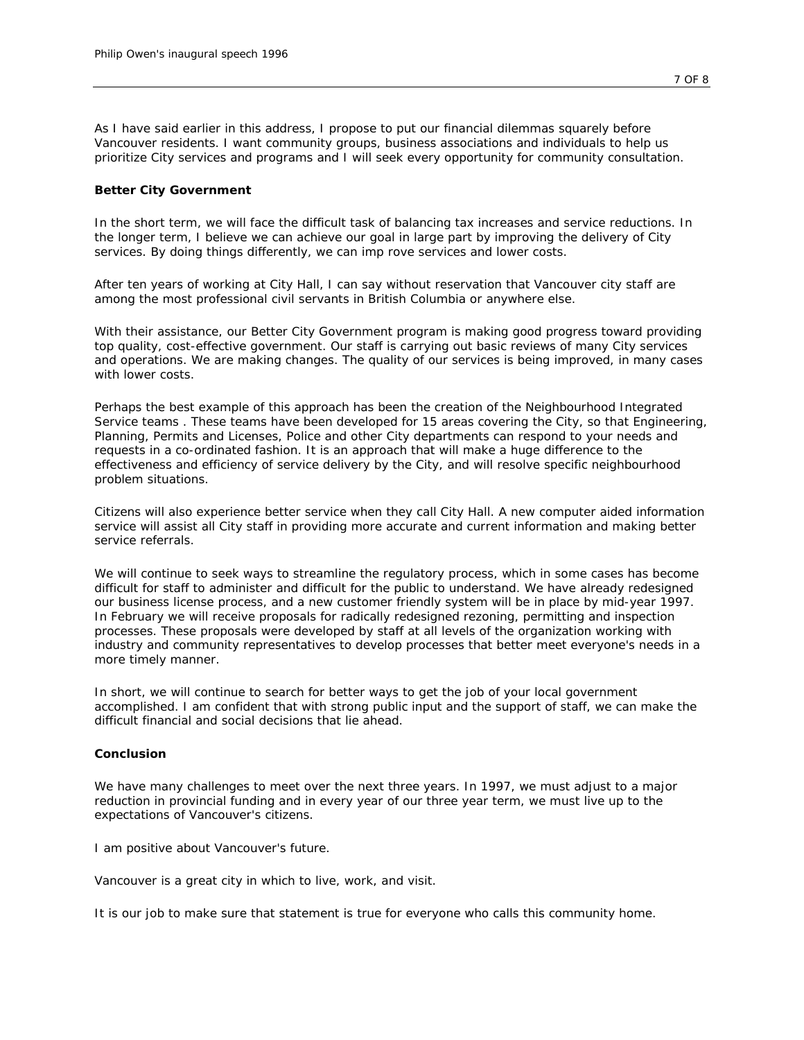*As I have said earlier in this address, I propose to put our financial dilemmas squarely before Vancouver residents. I want community groups, business associations and individuals to help us prioritize City services and programs and I will seek every opportunity for community consultation.*

## *Better City Government*

*In the short term, we will face the difficult task of balancing tax increases and service reductions. In the longer term, I believe we can achieve our goal in large part by improving the delivery of City services. By doing things differently, we can imp rove services and lower costs.*

*After ten years of working at City Hall, I can say without reservation that Vancouver city staff are among the most professional civil servants in British Columbia or anywhere else.*

*With their assistance, our Better City Government program is making good progress toward providing top quality, cost-effective government. Our staff is carrying out basic reviews of many City services and operations. We are making changes. The quality of our services is being improved, in many cases with lower costs.*

*Perhaps the best example of this approach has been the creation of the Neighbourhood Integrated Service teams . These teams have been developed for 15 areas covering the City, so that Engineering, Planning, Permits and Licenses, Police and other City departments can respond to your needs and requests in a co-ordinated fashion. It is an approach that will make a huge difference to the effectiveness and efficiency of service delivery by the City, and will resolve specific neighbourhood problem situations.*

*Citizens will also experience better service when they call City Hall. A new computer aided information service will assist all City staff in providing more accurate and current information and making better service referrals.*

*We will continue to seek ways to streamline the regulatory process, which in some cases has become difficult for staff to administer and difficult for the public to understand. We have already redesigned our business license process, and a new customer friendly system will be in place by mid-year 1997. In February we will receive proposals for radically redesigned rezoning, permitting and inspection processes. These proposals were developed by staff at all levels of the organization working with industry and community representatives to develop processes that better meet everyone's needs in a more timely manner.*

*In short, we will continue to search for better ways to get the job of your local government accomplished. I am confident that with strong public input and the support of staff, we can make the difficult financial and social decisions that lie ahead.*

## *Conclusion*

*We have many challenges to meet over the next three years. In 1997, we must adjust to a major reduction in provincial funding and in every year of our three year term, we must live up to the expectations of Vancouver's citizens.*

*I am positive about Vancouver's future.*

*Vancouver is a great city in which to live, work, and visit.*

*It is our job to make sure that statement is true for everyone who calls this community home.*